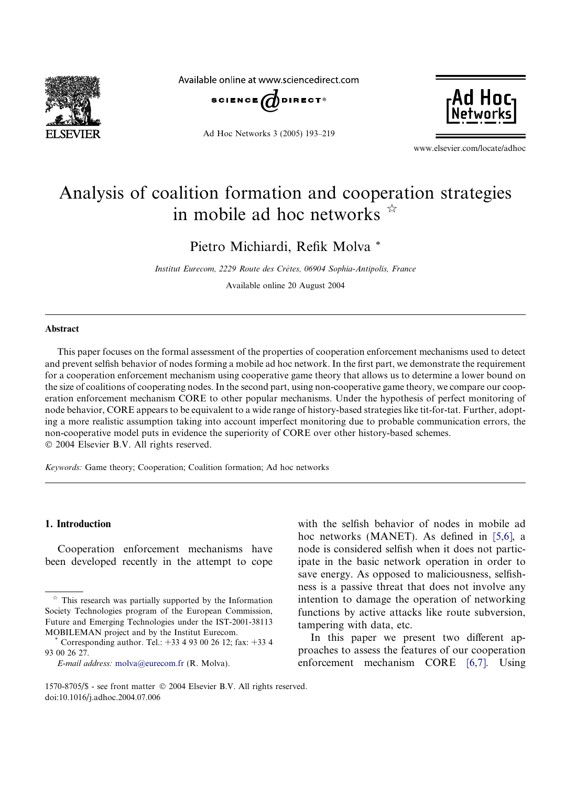

Available online at www.sciencedirect.com



Ad Hoc Networks 3 (2005) 193–219



www.elsevier.com/locate/adhoc

# Analysis of coalition formation and cooperation strategies in mobile ad hoc networks  $\dot{x}$

Pietro Michiardi, Refik Molva \*

Institut Eurecom, 2229 Route des Crêtes, 06904 Sophia-Antipolis, France

Available online 20 August 2004

#### Abstract

This paper focuses on the formal assessment of the properties of cooperation enforcement mechanisms used to detect and prevent selfish behavior of nodes forming a mobile ad hoc network. In the first part, we demonstrate the requirement for a cooperation enforcement mechanism using cooperative game theory that allows us to determine a lower bound on the size of coalitions of cooperating nodes. In the second part, using non-cooperative game theory, we compare our cooperation enforcement mechanism CORE to other popular mechanisms. Under the hypothesis of perfect monitoring of node behavior, CORE appears to be equivalent to a wide range of history-based strategies like tit-for-tat. Further, adopting a more realistic assumption taking into account imperfect monitoring due to probable communication errors, the non-cooperative model puts in evidence the superiority of CORE over other history-based schemes. 2004 Elsevier B.V. All rights reserved.

Keywords: Game theory; Cooperation; Coalition formation; Ad hoc networks

### 1. Introduction

Cooperation enforcement mechanisms have been developed recently in the attempt to cope with the selfish behavior of nodes in mobile ad hoc networks (MANET). As defined in [\[5,6\],](#page--1-0) a node is considered selfish when it does not participate in the basic network operation in order to save energy. As opposed to maliciousness, selfishness is a passive threat that does not involve any intention to damage the operation of networking functions by active attacks like route subversion, tampering with data, etc.

In this paper we present two different approaches to assess the features of our cooperation enforcement mechanism CORE [\[6,7\].](#page--1-0) Using

 $*$  This research was partially supported by the Information Society Technologies program of the European Commission, Future and Emerging Technologies under the IST-2001-38113 MOBILEMAN project and by the Institut Eurecom. \* Corresponding author. Tel.: +33 493 00 26 12; fax: +33 4

<sup>93 00 26 27.</sup>

E-mail address: [molva@eurecom.fr](mailto:molva@eurecom.fr ) (R. Molva).

<sup>1570-8705/\$ -</sup> see front matter 2004Elsevier B.V. All rights reserved. doi:10.1016/j.adhoc.2004.07.006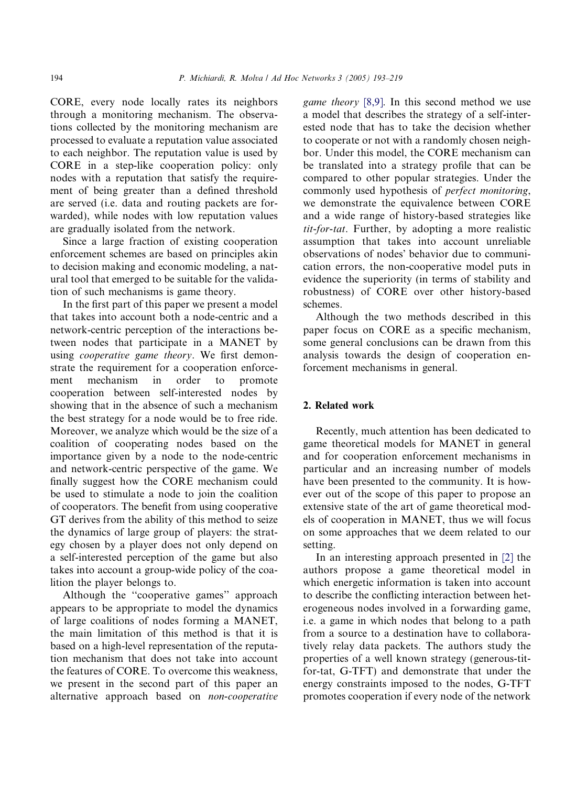CORE, every node locally rates its neighbors through a monitoring mechanism. The observations collected by the monitoring mechanism are processed to evaluate a reputation value associated to each neighbor. The reputation value is used by CORE in a step-like cooperation policy: only nodes with a reputation that satisfy the requirement of being greater than a defined threshold are served (i.e. data and routing packets are forwarded), while nodes with low reputation values are gradually isolated from the network.

Since a large fraction of existing cooperation enforcement schemes are based on principles akin to decision making and economic modeling, a natural tool that emerged to be suitable for the validation of such mechanisms is game theory.

In the first part of this paper we present a model that takes into account both a node-centric and a network-centric perception of the interactions between nodes that participate in a MANET by using cooperative game theory. We first demonstrate the requirement for a cooperation enforcement mechanism in order to promote cooperation between self-interested nodes by showing that in the absence of such a mechanism the best strategy for a node would be to free ride. Moreover, we analyze which would be the size of a coalition of cooperating nodes based on the importance given by a node to the node-centric and network-centric perspective of the game. We finally suggest how the CORE mechanism could be used to stimulate a node to join the coalition of cooperators. The benefit from using cooperative GT derives from the ability of this method to seize the dynamics of large group of players: the strategy chosen by a player does not only depend on a self-interested perception of the game but also takes into account a group-wide policy of the coalition the player belongs to.

Although the ''cooperative games'' approach appears to be appropriate to model the dynamics of large coalitions of nodes forming a MANET, the main limitation of this method is that it is based on a high-level representation of the reputation mechanism that does not take into account the features of CORE. To overcome this weakness, we present in the second part of this paper an alternative approach based on non-cooperative game theory [\[8,9\].](#page--1-0) In this second method we use a model that describes the strategy of a self-interested node that has to take the decision whether to cooperate or not with a randomly chosen neighbor. Under this model, the CORE mechanism can be translated into a strategy profile that can be compared to other popular strategies. Under the commonly used hypothesis of perfect monitoring, we demonstrate the equivalence between CORE and a wide range of history-based strategies like tit-for-tat. Further, by adopting a more realistic assumption that takes into account unreliable observations of nodes' behavior due to communication errors, the non-cooperative model puts in evidence the superiority (in terms of stability and robustness) of CORE over other history-based schemes.

Although the two methods described in this paper focus on CORE as a specific mechanism, some general conclusions can be drawn from this analysis towards the design of cooperation enforcement mechanisms in general.

### 2. Related work

Recently, much attention has been dedicated to game theoretical models for MANET in general and for cooperation enforcement mechanisms in particular and an increasing number of models have been presented to the community. It is however out of the scope of this paper to propose an extensive state of the art of game theoretical models of cooperation in MANET, thus we will focus on some approaches that we deem related to our setting.

In an interesting approach presented in [\[2\]](#page--1-0) the authors propose a game theoretical model in which energetic information is taken into account to describe the conflicting interaction between heterogeneous nodes involved in a forwarding game, i.e. a game in which nodes that belong to a path from a source to a destination have to collaboratively relay data packets. The authors study the properties of a well known strategy (generous-titfor-tat, G-TFT) and demonstrate that under the energy constraints imposed to the nodes, G-TFT promotes cooperation if every node of the network